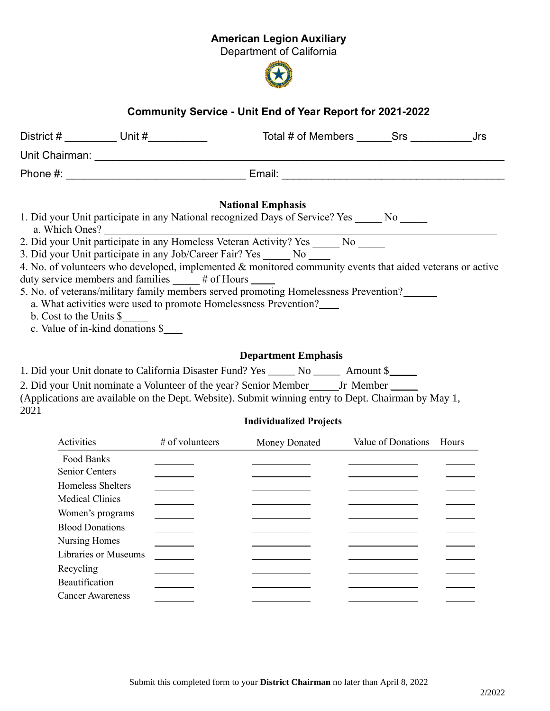## American Legion Auxiliary

Department of California



## Community Service - Unit End of Year Report for 2021-2022

| District # __________ Unit #___________                  | Total # of Members Srs<br>Jrs                                                                              |
|----------------------------------------------------------|------------------------------------------------------------------------------------------------------------|
| Unit Chairman: <u>________________</u>                   |                                                                                                            |
|                                                          |                                                                                                            |
|                                                          | <b>National Emphasis</b>                                                                                   |
|                                                          | 1. Did your Unit participate in any National recognized Days of Service? Yes No                            |
|                                                          | a. Which Ones?<br>2. Did your Unit participate in any Homeless Veteran Activity? Yes _______ No ______     |
|                                                          | 3. Did your Unit participate in any Job/Career Fair? Yes No                                                |
|                                                          | 4. No. of volunteers who developed, implemented & monitored community events that aided veterans or active |
| duty service members and families _____ # of Hours _____ |                                                                                                            |
|                                                          | 5. No. of veterans/military family members served promoting Homelessness Prevention?                       |
|                                                          | a. What activities were used to promote Homelessness Prevention?                                           |
| b. Cost to the Units \$                                  |                                                                                                            |
| c. Value of in-kind donations \$                         |                                                                                                            |
|                                                          | <b>Department Emphasis</b>                                                                                 |

1. Did your Unit donate to California Disaster Fund? Yes \_\_\_\_\_ No \_\_\_\_\_ Amount \$\_\_\_\_\_

2. Did your Unit nominate a Volunteer of the year? Senior Member \_\_\_\_\_\_\_ Jr Member \_\_\_\_\_ (Applications are available on the Dept. Website). Submit winning entry to Dept. Chairman by May 1, 2021

## Individualized Projects

| Activities                  | # of volunteers | Money Donated | Value of Donations | Hours |
|-----------------------------|-----------------|---------------|--------------------|-------|
| Food Banks                  |                 |               |                    |       |
| <b>Senior Centers</b>       |                 |               |                    |       |
| Homeless Shelters           |                 |               |                    |       |
| <b>Medical Clinics</b>      |                 |               |                    |       |
| Women's programs            |                 |               |                    |       |
| <b>Blood Donations</b>      |                 |               |                    |       |
| Nursing Homes               |                 |               |                    |       |
| <b>Libraries or Museums</b> |                 |               |                    |       |
| Recycling                   |                 |               |                    |       |
| Beautification              |                 |               |                    |       |
| <b>Cancer Awareness</b>     |                 |               |                    |       |